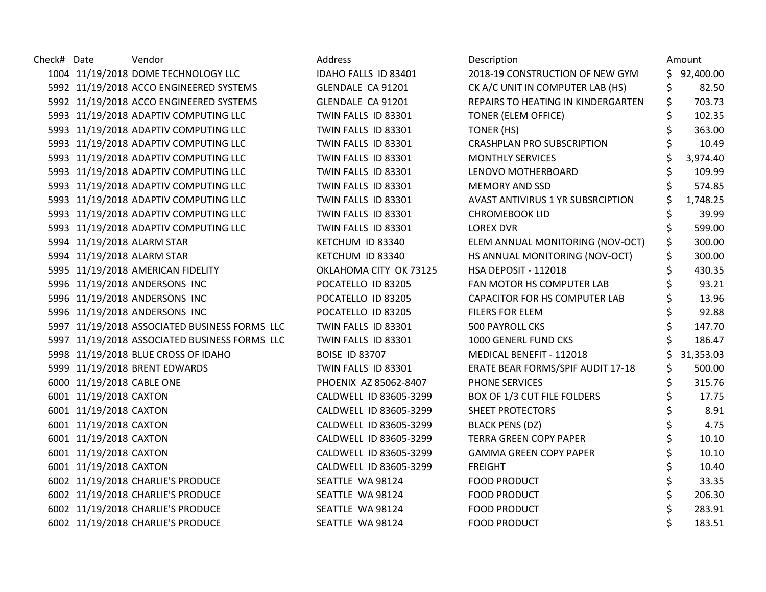| Check# Date |                           | Vendor                                        | Address                | Description                              |     | Amount    |
|-------------|---------------------------|-----------------------------------------------|------------------------|------------------------------------------|-----|-----------|
|             |                           | 1004 11/19/2018 DOME TECHNOLOGY LLC           | IDAHO FALLS ID 83401   | 2018-19 CONSTRUCTION OF NEW GYM          | \$. | 92,400.00 |
|             |                           | 5992 11/19/2018 ACCO ENGINEERED SYSTEMS       | GLENDALE CA 91201      | CK A/C UNIT IN COMPUTER LAB (HS)         | \$  | 82.50     |
|             |                           | 5992 11/19/2018 ACCO ENGINEERED SYSTEMS       | GLENDALE CA 91201      | REPAIRS TO HEATING IN KINDERGARTEN       | \$  | 703.73    |
|             |                           | 5993 11/19/2018 ADAPTIV COMPUTING LLC         | TWIN FALLS ID 83301    | <b>TONER (ELEM OFFICE)</b>               |     | 102.35    |
|             |                           | 5993 11/19/2018 ADAPTIV COMPUTING LLC         | TWIN FALLS ID 83301    | TONER (HS)                               |     | 363.00    |
|             |                           | 5993 11/19/2018 ADAPTIV COMPUTING LLC         | TWIN FALLS ID 83301    | <b>CRASHPLAN PRO SUBSCRIPTION</b>        |     | 10.49     |
|             |                           | 5993 11/19/2018 ADAPTIV COMPUTING LLC         | TWIN FALLS ID 83301    | <b>MONTHLY SERVICES</b>                  |     | 3,974.40  |
|             |                           | 5993 11/19/2018 ADAPTIV COMPUTING LLC         | TWIN FALLS ID 83301    | LENOVO MOTHERBOARD                       |     | 109.99    |
|             |                           | 5993 11/19/2018 ADAPTIV COMPUTING LLC         | TWIN FALLS ID 83301    | <b>MEMORY AND SSD</b>                    |     | 574.85    |
|             |                           | 5993 11/19/2018 ADAPTIV COMPUTING LLC         | TWIN FALLS ID 83301    | <b>AVAST ANTIVIRUS 1 YR SUBSRCIPTION</b> |     | 1,748.25  |
|             |                           | 5993 11/19/2018 ADAPTIV COMPUTING LLC         | TWIN FALLS ID 83301    | <b>CHROMEBOOK LID</b>                    | \$  | 39.99     |
|             |                           | 5993 11/19/2018 ADAPTIV COMPUTING LLC         | TWIN FALLS ID 83301    | <b>LOREX DVR</b>                         |     | 599.00    |
|             |                           | 5994 11/19/2018 ALARM STAR                    | KETCHUM ID 83340       | ELEM ANNUAL MONITORING (NOV-OCT)         | \$  | 300.00    |
|             |                           | 5994 11/19/2018 ALARM STAR                    | KETCHUM ID 83340       | HS ANNUAL MONITORING (NOV-OCT)           |     | 300.00    |
|             |                           | 5995 11/19/2018 AMERICAN FIDELITY             | OKLAHOMA CITY OK 73125 | <b>HSA DEPOSIT - 112018</b>              | \$  | 430.35    |
|             |                           | 5996 11/19/2018 ANDERSONS INC                 | POCATELLO ID 83205     | FAN MOTOR HS COMPUTER LAB                | \$  | 93.21     |
|             |                           | 5996 11/19/2018 ANDERSONS INC                 | POCATELLO ID 83205     | CAPACITOR FOR HS COMPUTER LAB            |     | 13.96     |
|             |                           | 5996 11/19/2018 ANDERSONS INC                 | POCATELLO ID 83205     | FILERS FOR ELEM                          |     | 92.88     |
|             |                           | 5997 11/19/2018 ASSOCIATED BUSINESS FORMS LLC | TWIN FALLS ID 83301    | <b>500 PAYROLL CKS</b>                   |     | 147.70    |
|             |                           | 5997 11/19/2018 ASSOCIATED BUSINESS FORMS LLC | TWIN FALLS ID 83301    | 1000 GENERL FUND CKS                     |     | 186.47    |
|             |                           | 5998 11/19/2018 BLUE CROSS OF IDAHO           | <b>BOISE ID 83707</b>  | MEDICAL BENEFIT - 112018                 |     | 31,353.03 |
|             |                           | 5999 11/19/2018 BRENT EDWARDS                 | TWIN FALLS ID 83301    | ERATE BEAR FORMS/SPIF AUDIT 17-18        | \$  | 500.00    |
|             | 6000 11/19/2018 CABLE ONE |                                               | PHOENIX AZ 85062-8407  | <b>PHONE SERVICES</b>                    |     | 315.76    |
|             | 6001 11/19/2018 CAXTON    |                                               | CALDWELL ID 83605-3299 | BOX OF 1/3 CUT FILE FOLDERS              | \$  | 17.75     |
|             | 6001 11/19/2018 CAXTON    |                                               | CALDWELL ID 83605-3299 | <b>SHEET PROTECTORS</b>                  | \$  | 8.91      |
|             | 6001 11/19/2018 CAXTON    |                                               | CALDWELL ID 83605-3299 | <b>BLACK PENS (DZ)</b>                   |     | 4.75      |
|             | 6001 11/19/2018 CAXTON    |                                               | CALDWELL ID 83605-3299 | <b>TERRA GREEN COPY PAPER</b>            |     | 10.10     |
|             | 6001 11/19/2018 CAXTON    |                                               | CALDWELL ID 83605-3299 | <b>GAMMA GREEN COPY PAPER</b>            | \$  | 10.10     |
|             | 6001 11/19/2018 CAXTON    |                                               | CALDWELL ID 83605-3299 | <b>FREIGHT</b>                           | \$  | 10.40     |
|             |                           | 6002 11/19/2018 CHARLIE'S PRODUCE             | SEATTLE WA 98124       | <b>FOOD PRODUCT</b>                      | \$  | 33.35     |
|             |                           | 6002 11/19/2018 CHARLIE'S PRODUCE             | SEATTLE WA 98124       | <b>FOOD PRODUCT</b>                      |     | 206.30    |
|             |                           | 6002 11/19/2018 CHARLIE'S PRODUCE             | SEATTLE WA 98124       | <b>FOOD PRODUCT</b>                      |     | 283.91    |
|             |                           | 6002 11/19/2018 CHARLIE'S PRODUCE             | SEATTLE WA 98124       | <b>FOOD PRODUCT</b>                      |     | 183.51    |

| Description                              | Amount          |
|------------------------------------------|-----------------|
| 2018-19 CONSTRUCTION OF NEW GYM          | \$<br>92,400.00 |
| CK A/C UNIT IN COMPUTER LAB (HS)         | \$<br>82.50     |
| REPAIRS TO HEATING IN KINDERGARTEN       | \$<br>703.73    |
| TONER (ELEM OFFICE)                      | \$<br>102.35    |
| <b>TONER (HS)</b>                        | \$<br>363.00    |
| <b>CRASHPLAN PRO SUBSCRIPTION</b>        | \$<br>10.49     |
| <b>MONTHLY SERVICES</b>                  | \$<br>3,974.40  |
| LENOVO MOTHERBOARD                       | \$<br>109.99    |
| <b>MEMORY AND SSD</b>                    | \$<br>574.85    |
| <b>AVAST ANTIVIRUS 1 YR SUBSRCIPTION</b> | \$<br>1,748.25  |
| CHROMEBOOK LID                           | \$<br>39.99     |
| <b>LOREX DVR</b>                         | \$<br>599.00    |
| ELEM ANNUAL MONITORING (NOV-OCT)         | \$<br>300.00    |
| HS ANNUAL MONITORING (NOV-OCT)           | \$<br>300.00    |
| <b>HSA DEPOSIT - 112018</b>              | \$<br>430.35    |
| FAN MOTOR HS COMPUTER LAB                | \$<br>93.21     |
| <b>CAPACITOR FOR HS COMPUTER LAB</b>     | \$<br>13.96     |
| <b>FILERS FOR ELEM</b>                   | \$<br>92.88     |
| <b>500 PAYROLL CKS</b>                   | \$<br>147.70    |
| 1000 GENERL FUND CKS                     | \$<br>186.47    |
| <b>MEDICAL BENEFIT - 112018</b>          | \$<br>31,353.03 |
| ERATE BEAR FORMS/SPIF AUDIT 17-18        | \$<br>500.00    |
| <b>PHONE SERVICES</b>                    | \$<br>315.76    |
| BOX OF 1/3 CUT FILE FOLDERS              | \$<br>17.75     |
| <b>SHEET PROTECTORS</b>                  | \$<br>8.91      |
| <b>BLACK PENS (DZ)</b>                   | \$<br>4.75      |
| <b>TERRA GREEN COPY PAPER</b>            | \$<br>10.10     |
| <b>GAMMA GREEN COPY PAPER</b>            | \$<br>10.10     |
| <b>FREIGHT</b>                           | \$<br>10.40     |
| <b>FOOD PRODUCT</b>                      | \$<br>33.35     |
| <b>FOOD PRODUCT</b>                      | \$<br>206.30    |
| <b>FOOD PRODUCT</b>                      | \$<br>283.91    |
| <b>FOOD PRODUCT</b>                      | \$<br>183.51    |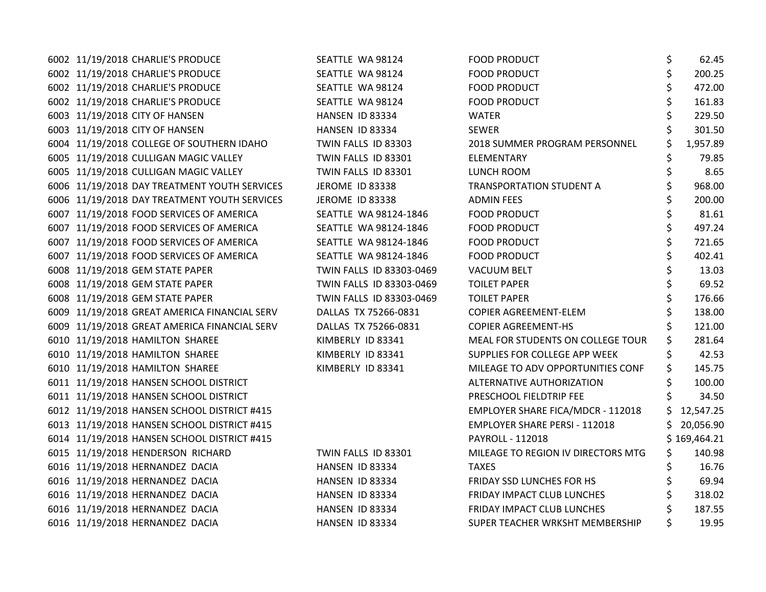| 6002 11/19/2018 CHARLIE'S PRODUCE            | SEATTLE WA 98124         | <b>FOOD PRODUCT</b>                | \$ | 62.45        |
|----------------------------------------------|--------------------------|------------------------------------|----|--------------|
| 6002 11/19/2018 CHARLIE'S PRODUCE            | SEATTLE WA 98124         | <b>FOOD PRODUCT</b>                | \$ | 200.25       |
| 6002 11/19/2018 CHARLIE'S PRODUCE            | SEATTLE WA 98124         | <b>FOOD PRODUCT</b>                |    | 472.00       |
| 6002 11/19/2018 CHARLIE'S PRODUCE            | SEATTLE WA 98124         | <b>FOOD PRODUCT</b>                |    | 161.83       |
| 6003 11/19/2018 CITY OF HANSEN               | HANSEN ID 83334          | <b>WATER</b>                       |    | 229.50       |
| 6003 11/19/2018 CITY OF HANSEN               | HANSEN ID 83334          | <b>SEWER</b>                       |    | 301.50       |
| 6004 11/19/2018 COLLEGE OF SOUTHERN IDAHO    | TWIN FALLS ID 83303      | 2018 SUMMER PROGRAM PERSONNEL      |    | 1,957.89     |
| 6005 11/19/2018 CULLIGAN MAGIC VALLEY        | TWIN FALLS ID 83301      | ELEMENTARY                         |    | 79.85        |
| 6005 11/19/2018 CULLIGAN MAGIC VALLEY        | TWIN FALLS ID 83301      | LUNCH ROOM                         | \$ | 8.65         |
| 6006 11/19/2018 DAY TREATMENT YOUTH SERVICES | <b>JEROME ID 83338</b>   | <b>TRANSPORTATION STUDENT A</b>    | \$ | 968.00       |
| 6006 11/19/2018 DAY TREATMENT YOUTH SERVICES | <b>JEROME ID 83338</b>   | <b>ADMIN FEES</b>                  |    | 200.00       |
| 6007 11/19/2018 FOOD SERVICES OF AMERICA     | SEATTLE WA 98124-1846    | <b>FOOD PRODUCT</b>                |    | 81.61        |
| 6007 11/19/2018 FOOD SERVICES OF AMERICA     | SEATTLE WA 98124-1846    | <b>FOOD PRODUCT</b>                |    | 497.24       |
| 6007 11/19/2018 FOOD SERVICES OF AMERICA     | SEATTLE WA 98124-1846    | <b>FOOD PRODUCT</b>                |    | 721.65       |
| 6007 11/19/2018 FOOD SERVICES OF AMERICA     | SEATTLE WA 98124-1846    | <b>FOOD PRODUCT</b>                |    | 402.41       |
| 6008 11/19/2018 GEM STATE PAPER              | TWIN FALLS ID 83303-0469 | <b>VACUUM BELT</b>                 |    | 13.03        |
| 6008 11/19/2018 GEM STATE PAPER              | TWIN FALLS ID 83303-0469 | <b>TOILET PAPER</b>                |    | 69.52        |
| 6008 11/19/2018 GEM STATE PAPER              | TWIN FALLS ID 83303-0469 | <b>TOILET PAPER</b>                |    | 176.66       |
| 6009 11/19/2018 GREAT AMERICA FINANCIAL SERV | DALLAS TX 75266-0831     | COPIER AGREEMENT-ELEM              |    | 138.00       |
| 6009 11/19/2018 GREAT AMERICA FINANCIAL SERV | DALLAS TX 75266-0831     | <b>COPIER AGREEMENT-HS</b>         |    | 121.00       |
| 6010 11/19/2018 HAMILTON SHAREE              | KIMBERLY ID 83341        | MEAL FOR STUDENTS ON COLLEGE TOUR  |    | 281.64       |
| 6010 11/19/2018 HAMILTON SHAREE              | KIMBERLY ID 83341        | SUPPLIES FOR COLLEGE APP WEEK      |    | 42.53        |
| 6010 11/19/2018 HAMILTON SHAREE              | KIMBERLY ID 83341        | MILEAGE TO ADV OPPORTUNITIES CONF  |    | 145.75       |
| 6011 11/19/2018 HANSEN SCHOOL DISTRICT       |                          | ALTERNATIVE AUTHORIZATION          |    | 100.00       |
| 6011 11/19/2018 HANSEN SCHOOL DISTRICT       |                          | PRESCHOOL FIELDTRIP FEE            |    | 34.50        |
| 6012 11/19/2018 HANSEN SCHOOL DISTRICT #415  |                          | EMPLOYER SHARE FICA/MDCR - 112018  |    | 12,547.25    |
| 6013 11/19/2018 HANSEN SCHOOL DISTRICT #415  |                          | EMPLOYER SHARE PERSI - 112018      | S. | 20,056.90    |
| 6014 11/19/2018 HANSEN SCHOOL DISTRICT #415  |                          | PAYROLL - 112018                   |    | \$169,464.21 |
| 6015 11/19/2018 HENDERSON RICHARD            | TWIN FALLS ID 83301      | MILEAGE TO REGION IV DIRECTORS MTG |    | 140.98       |
| 6016 11/19/2018 HERNANDEZ DACIA              | HANSEN ID 83334          | <b>TAXES</b>                       |    | 16.76        |
| 6016 11/19/2018 HERNANDEZ DACIA              | HANSEN ID 83334          | <b>FRIDAY SSD LUNCHES FOR HS</b>   |    | 69.94        |
| 6016 11/19/2018 HERNANDEZ DACIA              | HANSEN ID 83334          | FRIDAY IMPACT CLUB LUNCHES         |    | 318.02       |
| 6016 11/19/2018 HERNANDEZ DACIA              | <b>HANSEN ID 83334</b>   | FRIDAY IMPACT CLUB LUNCHES         |    | 187.55       |
| 6016 11/19/2018 HERNANDEZ DACIA              | HANSEN ID 83334          | SUPER TEACHER WRKSHT MEMBERSHIP    |    | 19.95        |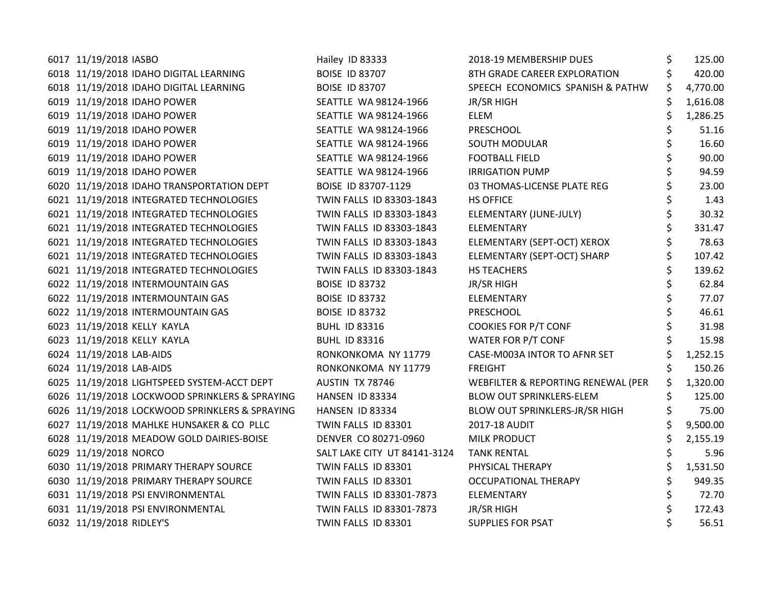| 6017 11/19/2018 IASBO                          | Hailey ID 83333              | 2018-19 MEMBERSHIP DUES            | \$<br>125.00 |
|------------------------------------------------|------------------------------|------------------------------------|--------------|
| 6018 11/19/2018 IDAHO DIGITAL LEARNING         | <b>BOISE ID 83707</b>        | 8TH GRADE CAREER EXPLORATION       | 420.00       |
| 6018 11/19/2018 IDAHO DIGITAL LEARNING         | <b>BOISE ID 83707</b>        | SPEECH ECONOMICS SPANISH & PATHW   | 4,770.00     |
| 6019 11/19/2018 IDAHO POWER                    | SEATTLE WA 98124-1966        | JR/SR HIGH                         | 1,616.08     |
| 6019 11/19/2018 IDAHO POWER                    | SEATTLE WA 98124-1966        | <b>ELEM</b>                        | 1,286.25     |
| 6019 11/19/2018 IDAHO POWER                    | SEATTLE WA 98124-1966        | PRESCHOOL                          | 51.16        |
| 6019 11/19/2018 IDAHO POWER                    | SEATTLE WA 98124-1966        | <b>SOUTH MODULAR</b>               | 16.60        |
| 6019 11/19/2018 IDAHO POWER                    | SEATTLE WA 98124-1966        | <b>FOOTBALL FIELD</b>              | 90.00        |
| 6019 11/19/2018 IDAHO POWER                    | SEATTLE WA 98124-1966        | <b>IRRIGATION PUMP</b>             | 94.59        |
| 6020 11/19/2018 IDAHO TRANSPORTATION DEPT      | BOISE ID 83707-1129          | 03 THOMAS-LICENSE PLATE REG        | 23.00        |
| 6021 11/19/2018 INTEGRATED TECHNOLOGIES        | TWIN FALLS ID 83303-1843     | <b>HS OFFICE</b>                   | 1.43         |
| 6021 11/19/2018 INTEGRATED TECHNOLOGIES        | TWIN FALLS ID 83303-1843     | ELEMENTARY (JUNE-JULY)             | 30.32        |
| 6021 11/19/2018 INTEGRATED TECHNOLOGIES        | TWIN FALLS ID 83303-1843     | ELEMENTARY                         | 331.47       |
| 6021 11/19/2018 INTEGRATED TECHNOLOGIES        | TWIN FALLS ID 83303-1843     | ELEMENTARY (SEPT-OCT) XEROX        | 78.63        |
| 6021 11/19/2018 INTEGRATED TECHNOLOGIES        | TWIN FALLS ID 83303-1843     | ELEMENTARY (SEPT-OCT) SHARP        | 107.42       |
| 6021 11/19/2018 INTEGRATED TECHNOLOGIES        | TWIN FALLS ID 83303-1843     | HS TEACHERS                        | 139.62       |
| 6022 11/19/2018 INTERMOUNTAIN GAS              | <b>BOISE ID 83732</b>        | JR/SR HIGH                         | 62.84        |
| 6022 11/19/2018 INTERMOUNTAIN GAS              | <b>BOISE ID 83732</b>        | ELEMENTARY                         | 77.07        |
| 6022 11/19/2018 INTERMOUNTAIN GAS              | <b>BOISE ID 83732</b>        | PRESCHOOL                          | 46.61        |
| 6023 11/19/2018 KELLY KAYLA                    | <b>BUHL ID 83316</b>         | <b>COOKIES FOR P/T CONF</b>        | 31.98        |
| 6023 11/19/2018 KELLY KAYLA                    | <b>BUHL ID 83316</b>         | WATER FOR P/T CONF                 | 15.98        |
| 6024 11/19/2018 LAB-AIDS                       | RONKONKOMA NY 11779          | CASE-M003A INTOR TO AFNR SET       | 1,252.15     |
| 6024 11/19/2018 LAB-AIDS                       | RONKONKOMA NY 11779          | <b>FREIGHT</b>                     | 150.26       |
| 6025 11/19/2018 LIGHTSPEED SYSTEM-ACCT DEPT    | AUSTIN TX 78746              | WEBFILTER & REPORTING RENEWAL (PER | 1,320.00     |
| 6026 11/19/2018 LOCKWOOD SPRINKLERS & SPRAYING | HANSEN ID 83334              | <b>BLOW OUT SPRINKLERS-ELEM</b>    | 125.00       |
| 6026 11/19/2018 LOCKWOOD SPRINKLERS & SPRAYING | HANSEN ID 83334              | BLOW OUT SPRINKLERS-JR/SR HIGH     | 75.00        |
| 6027 11/19/2018 MAHLKE HUNSAKER & CO PLLC      | TWIN FALLS ID 83301          | 2017-18 AUDIT                      | 9,500.00     |
| 6028 11/19/2018 MEADOW GOLD DAIRIES-BOISE      | DENVER CO 80271-0960         | <b>MILK PRODUCT</b>                | 2,155.19     |
| 6029 11/19/2018 NORCO                          | SALT LAKE CITY UT 84141-3124 | <b>TANK RENTAL</b>                 | 5.96         |
| 6030 11/19/2018 PRIMARY THERAPY SOURCE         | TWIN FALLS ID 83301          | PHYSICAL THERAPY                   | 1,531.50     |
| 6030 11/19/2018 PRIMARY THERAPY SOURCE         | TWIN FALLS ID 83301          | <b>OCCUPATIONAL THERAPY</b>        | 949.35       |
| 6031 11/19/2018 PSI ENVIRONMENTAL              | TWIN FALLS ID 83301-7873     | ELEMENTARY                         | 72.70        |
| 6031 11/19/2018 PSI ENVIRONMENTAL              | TWIN FALLS ID 83301-7873     | JR/SR HIGH                         | 172.43       |
| 6032 11/19/2018 RIDLEY'S                       | TWIN FALLS ID 83301          | <b>SUPPLIES FOR PSAT</b>           | 56.51        |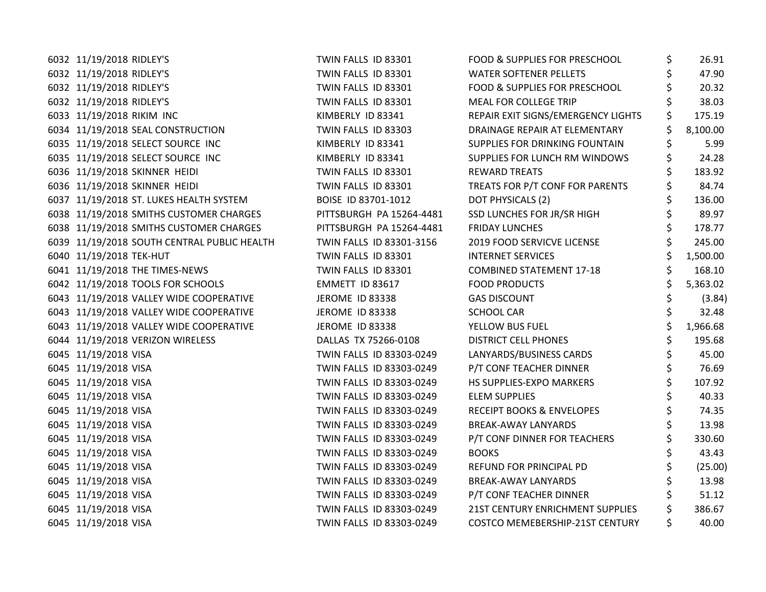| 6032 11/19/2018 RIDLEY'S                    | TWIN FALLS ID 83301      | FOOD & SUPPLIES FOR PRESCHOOL        | \$<br>26.91  |
|---------------------------------------------|--------------------------|--------------------------------------|--------------|
| 6032 11/19/2018 RIDLEY'S                    | TWIN FALLS ID 83301      | <b>WATER SOFTENER PELLETS</b>        | 47.90        |
| 6032 11/19/2018 RIDLEY'S                    | TWIN FALLS ID 83301      | FOOD & SUPPLIES FOR PRESCHOOL        | 20.32        |
| 6032 11/19/2018 RIDLEY'S                    | TWIN FALLS ID 83301      | MEAL FOR COLLEGE TRIP                | 38.03        |
| 6033 11/19/2018 RIKIM INC                   | KIMBERLY ID 83341        | REPAIR EXIT SIGNS/EMERGENCY LIGHTS   | 175.19       |
| 6034 11/19/2018 SEAL CONSTRUCTION           | TWIN FALLS ID 83303      | DRAINAGE REPAIR AT ELEMENTARY        | 8,100.00     |
| 6035 11/19/2018 SELECT SOURCE INC           | KIMBERLY ID 83341        | SUPPLIES FOR DRINKING FOUNTAIN       | 5.99         |
| 6035 11/19/2018 SELECT SOURCE INC           | KIMBERLY ID 83341        | SUPPLIES FOR LUNCH RM WINDOWS        | 24.28        |
| 6036 11/19/2018 SKINNER HEIDI               | TWIN FALLS ID 83301      | <b>REWARD TREATS</b>                 | 183.92       |
| 6036 11/19/2018 SKINNER HEIDI               | TWIN FALLS ID 83301      | TREATS FOR P/T CONF FOR PARENTS      | 84.74        |
| 6037 11/19/2018 ST. LUKES HEALTH SYSTEM     | BOISE ID 83701-1012      | DOT PHYSICALS (2)                    | \$<br>136.00 |
| 6038 11/19/2018 SMITHS CUSTOMER CHARGES     | PITTSBURGH PA 15264-4481 | SSD LUNCHES FOR JR/SR HIGH           | \$<br>89.97  |
| 6038 11/19/2018 SMITHS CUSTOMER CHARGES     | PITTSBURGH PA 15264-4481 | <b>FRIDAY LUNCHES</b>                | 178.77       |
| 6039 11/19/2018 SOUTH CENTRAL PUBLIC HEALTH | TWIN FALLS ID 83301-3156 | 2019 FOOD SERVICVE LICENSE           | 245.00       |
| 6040 11/19/2018 TEK-HUT                     | TWIN FALLS ID 83301      | <b>INTERNET SERVICES</b>             | 1,500.00     |
| 6041 11/19/2018 THE TIMES-NEWS              | TWIN FALLS ID 83301      | <b>COMBINED STATEMENT 17-18</b>      | 168.10       |
| 6042 11/19/2018 TOOLS FOR SCHOOLS           | EMMETT ID 83617          | <b>FOOD PRODUCTS</b>                 | 5,363.02     |
| 6043 11/19/2018 VALLEY WIDE COOPERATIVE     | <b>JEROME ID 83338</b>   | <b>GAS DISCOUNT</b>                  | (3.84)       |
| 6043 11/19/2018 VALLEY WIDE COOPERATIVE     | <b>JEROME ID 83338</b>   | <b>SCHOOL CAR</b>                    | 32.48        |
| 6043 11/19/2018 VALLEY WIDE COOPERATIVE     | <b>JEROME ID 83338</b>   | YELLOW BUS FUEL                      | 1,966.68     |
| 6044 11/19/2018 VERIZON WIRELESS            | DALLAS TX 75266-0108     | <b>DISTRICT CELL PHONES</b>          | 195.68       |
| 6045 11/19/2018 VISA                        | TWIN FALLS ID 83303-0249 | LANYARDS/BUSINESS CARDS              | \$<br>45.00  |
| 6045 11/19/2018 VISA                        | TWIN FALLS ID 83303-0249 | P/T CONF TEACHER DINNER              | \$<br>76.69  |
| 6045 11/19/2018 VISA                        | TWIN FALLS ID 83303-0249 | HS SUPPLIES-EXPO MARKERS             | 107.92       |
| 6045 11/19/2018 VISA                        | TWIN FALLS ID 83303-0249 | <b>ELEM SUPPLIES</b>                 | 40.33        |
| 6045 11/19/2018 VISA                        | TWIN FALLS ID 83303-0249 | <b>RECEIPT BOOKS &amp; ENVELOPES</b> | 74.35        |
| 6045 11/19/2018 VISA                        | TWIN FALLS ID 83303-0249 | <b>BREAK-AWAY LANYARDS</b>           | 13.98        |
| 6045 11/19/2018 VISA                        | TWIN FALLS ID 83303-0249 | P/T CONF DINNER FOR TEACHERS         | 330.60       |
| 6045 11/19/2018 VISA                        | TWIN FALLS ID 83303-0249 | <b>BOOKS</b>                         | 43.43        |
| 6045 11/19/2018 VISA                        | TWIN FALLS ID 83303-0249 | REFUND FOR PRINCIPAL PD              | (25.00)      |
| 6045 11/19/2018 VISA                        | TWIN FALLS ID 83303-0249 | <b>BREAK-AWAY LANYARDS</b>           | 13.98        |
| 6045 11/19/2018 VISA                        | TWIN FALLS ID 83303-0249 | P/T CONF TEACHER DINNER              | 51.12        |
| 6045 11/19/2018 VISA                        | TWIN FALLS ID 83303-0249 | 21ST CENTURY ENRICHMENT SUPPLIES     | 386.67       |
| 6045 11/19/2018 VISA                        | TWIN FALLS ID 83303-0249 | COSTCO MEMEBERSHIP-21ST CENTURY      | 40.00        |
|                                             |                          |                                      |              |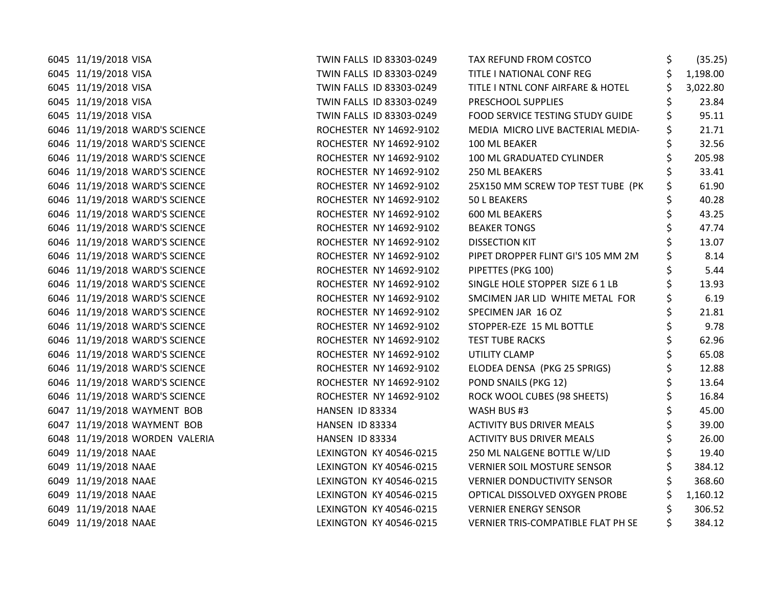| 6045 11/19/2018 VISA           | TWIN FALLS ID 83303-0249 | TAX REFUND FROM COSTCO             | \$<br>(35.25)  |
|--------------------------------|--------------------------|------------------------------------|----------------|
| 6045 11/19/2018 VISA           | TWIN FALLS ID 83303-0249 | TITLE I NATIONAL CONF REG          | \$<br>1,198.00 |
| 6045 11/19/2018 VISA           | TWIN FALLS ID 83303-0249 | TITLE I NTNL CONF AIRFARE & HOTEL  | \$<br>3,022.80 |
| 6045 11/19/2018 VISA           | TWIN FALLS ID 83303-0249 | PRESCHOOL SUPPLIES                 | 23.84          |
| 6045 11/19/2018 VISA           | TWIN FALLS ID 83303-0249 | FOOD SERVICE TESTING STUDY GUIDE   | \$<br>95.11    |
| 6046 11/19/2018 WARD'S SCIENCE | ROCHESTER NY 14692-9102  | MEDIA MICRO LIVE BACTERIAL MEDIA-  | \$<br>21.71    |
| 6046 11/19/2018 WARD'S SCIENCE | ROCHESTER NY 14692-9102  | 100 ML BEAKER                      | \$<br>32.56    |
| 6046 11/19/2018 WARD'S SCIENCE | ROCHESTER NY 14692-9102  | 100 ML GRADUATED CYLINDER          | \$<br>205.98   |
| 6046 11/19/2018 WARD'S SCIENCE | ROCHESTER NY 14692-9102  | 250 ML BEAKERS                     | 33.41          |
| 6046 11/19/2018 WARD'S SCIENCE | ROCHESTER NY 14692-9102  | 25X150 MM SCREW TOP TEST TUBE (PK  | \$<br>61.90    |
| 6046 11/19/2018 WARD'S SCIENCE | ROCHESTER NY 14692-9102  | 50 L BEAKERS                       | \$<br>40.28    |
| 6046 11/19/2018 WARD'S SCIENCE | ROCHESTER NY 14692-9102  | 600 ML BEAKERS                     | \$<br>43.25    |
| 6046 11/19/2018 WARD'S SCIENCE | ROCHESTER NY 14692-9102  | <b>BEAKER TONGS</b>                | 47.74          |
| 6046 11/19/2018 WARD'S SCIENCE | ROCHESTER NY 14692-9102  | <b>DISSECTION KIT</b>              | 13.07          |
| 6046 11/19/2018 WARD'S SCIENCE | ROCHESTER NY 14692-9102  | PIPET DROPPER FLINT GI'S 105 MM 2M | \$<br>8.14     |
| 6046 11/19/2018 WARD'S SCIENCE | ROCHESTER NY 14692-9102  | PIPETTES (PKG 100)                 | \$<br>5.44     |
| 6046 11/19/2018 WARD'S SCIENCE | ROCHESTER NY 14692-9102  | SINGLE HOLE STOPPER SIZE 6 1 LB    | \$<br>13.93    |
| 6046 11/19/2018 WARD'S SCIENCE | ROCHESTER NY 14692-9102  | SMCIMEN JAR LID WHITE METAL FOR    | \$<br>6.19     |
| 6046 11/19/2018 WARD'S SCIENCE | ROCHESTER NY 14692-9102  | SPECIMEN JAR 16 OZ                 | \$<br>21.81    |
| 6046 11/19/2018 WARD'S SCIENCE | ROCHESTER NY 14692-9102  | STOPPER-EZE 15 ML BOTTLE           | \$<br>9.78     |
| 6046 11/19/2018 WARD'S SCIENCE | ROCHESTER NY 14692-9102  | <b>TEST TUBE RACKS</b>             | \$<br>62.96    |
| 6046 11/19/2018 WARD'S SCIENCE | ROCHESTER NY 14692-9102  | UTILITY CLAMP                      | 65.08          |
| 6046 11/19/2018 WARD'S SCIENCE | ROCHESTER NY 14692-9102  | ELODEA DENSA (PKG 25 SPRIGS)       | 12.88          |
| 6046 11/19/2018 WARD'S SCIENCE | ROCHESTER NY 14692-9102  | POND SNAILS (PKG 12)               | \$<br>13.64    |
| 6046 11/19/2018 WARD'S SCIENCE | ROCHESTER NY 14692-9102  | ROCK WOOL CUBES (98 SHEETS)        | \$<br>16.84    |
| 6047 11/19/2018 WAYMENT BOB    | HANSEN ID 83334          | WASH BUS #3                        | \$<br>45.00    |
| 6047 11/19/2018 WAYMENT BOB    | HANSEN ID 83334          | <b>ACTIVITY BUS DRIVER MEALS</b>   | 39.00          |
| 6048 11/19/2018 WORDEN VALERIA | HANSEN ID 83334          | <b>ACTIVITY BUS DRIVER MEALS</b>   | \$<br>26.00    |
| 6049 11/19/2018 NAAE           | LEXINGTON KY 40546-0215  | 250 ML NALGENE BOTTLE W/LID        | \$<br>19.40    |
| 6049 11/19/2018 NAAE           | LEXINGTON KY 40546-0215  | <b>VERNIER SOIL MOSTURE SENSOR</b> | \$<br>384.12   |
| 6049 11/19/2018 NAAE           | LEXINGTON KY 40546-0215  | <b>VERNIER DONDUCTIVITY SENSOR</b> | 368.60         |
| 6049 11/19/2018 NAAE           | LEXINGTON KY 40546-0215  | OPTICAL DISSOLVED OXYGEN PROBE     | 1,160.12       |
| 6049 11/19/2018 NAAE           | LEXINGTON KY 40546-0215  | <b>VERNIER ENERGY SENSOR</b>       | \$<br>306.52   |
| 6049 11/19/2018 NAAE           | LEXINGTON KY 40546-0215  | VERNIER TRIS-COMPATIBLE FLAT PH SE | 384.12         |